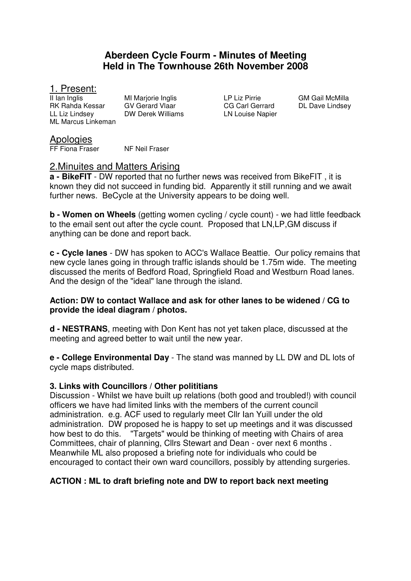# **Aberdeen Cycle Fourm - Minutes of Meeting Held in The Townhouse 26th November 2008**

# 1. Present:<br>Il lan Inglis

RK Rahda Kessar GV Gerard Vlaar CG Carl Gerrard DL Dave Lindsey LL Liz Lindsey DW Derek Williams LN Louise Napier ML Marcus Linkeman

MI Marjorie Inglis **III Inglis** LP Liz Pirrie **GM Gail McMilla** 

# Apologies

FF Fiona Fraser NF Neil Fraser

# 2.Minuites and Matters Arising

**a - BikeFIT** - DW reported that no further news was received from BikeFIT , it is known they did not succeed in funding bid. Apparently it still running and we await further news. BeCycle at the University appears to be doing well.

**b - Women on Wheels** (getting women cycling / cycle count) - we had little feedback to the email sent out after the cycle count. Proposed that LN,LP,GM discuss if anything can be done and report back.

**c - Cycle lanes** - DW has spoken to ACC's Wallace Beattie. Our policy remains that new cycle lanes going in through traffic islands should be 1.75m wide. The meeting discussed the merits of Bedford Road, Springfield Road and Westburn Road lanes. And the design of the "ideal" lane through the island.

#### **Action: DW to contact Wallace and ask for other lanes to be widened / CG to provide the ideal diagram / photos.**

**d - NESTRANS**, meeting with Don Kent has not yet taken place, discussed at the meeting and agreed better to wait until the new year.

**e - College Environmental Day** - The stand was manned by LL DW and DL lots of cycle maps distributed.

# **3. Links with Councillors / Other polititians**

Discussion - Whilst we have built up relations (both good and troubled!) with council officers we have had limited links with the members of the current council administration. e.g. ACF used to regularly meet Cllr Ian Yuill under the old administration. DW proposed he is happy to set up meetings and it was discussed how best to do this. "Targets" would be thinking of meeting with Chairs of area Committees, chair of planning, Cllrs Stewart and Dean - over next 6 months . Meanwhile ML also proposed a briefing note for individuals who could be encouraged to contact their own ward councillors, possibly by attending surgeries.

# **ACTION : ML to draft briefing note and DW to report back next meeting**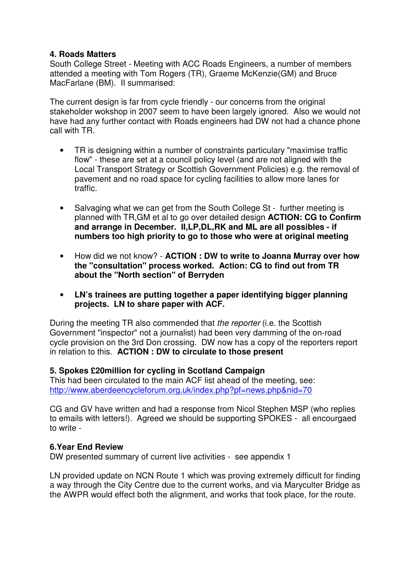#### **4. Roads Matters**

South College Street - Meeting with ACC Roads Engineers, a number of members attended a meeting with Tom Rogers (TR), Graeme McKenzie(GM) and Bruce MacFarlane (BM). II summarised:

The current design is far from cycle friendly - our concerns from the original stakeholder wokshop in 2007 seem to have been largely ignored. Also we would not have had any further contact with Roads engineers had DW not had a chance phone call with TR.

- TR is designing within a number of constraints particulary "maximise traffic flow" - these are set at a council policy level (and are not aligned with the Local Transport Strategy or Scottish Government Policies) e.g. the removal of pavement and no road space for cycling facilities to allow more lanes for traffic.
- Salvaging what we can get from the South College St further meeting is planned with TR,GM et al to go over detailed design **ACTION: CG to Confirm and arrange in December. II,LP,DL,RK and ML are all possibles - if numbers too high priority to go to those who were at original meeting**
- How did we not know? **ACTION : DW to write to Joanna Murray over how the "consultation" process worked. Action: CG to find out from TR about the "North section" of Berryden**
- **LN's trainees are putting together a paper identifying bigger planning projects. LN to share paper with ACF.**

During the meeting TR also commended that *the reporter* (i.e. the Scottish Government "inspector" not a journalist) had been very damming of the on-road cycle provision on the 3rd Don crossing. DW now has a copy of the reporters report in relation to this. **ACTION : DW to circulate to those present**

#### **5. Spokes £20million for cycling in Scotland Campaign**

This had been circulated to the main ACF list ahead of the meeting, see: http://www.aberdeencycleforum.org.uk/index.php?pf=news.php&nid=70

CG and GV have written and had a response from Nicol Stephen MSP (who replies to emails with letters!). Agreed we should be supporting SPOKES - all encourgaed to write -

#### **6.Year End Review**

DW presented summary of current live activities - see appendix 1

LN provided update on NCN Route 1 which was proving extremely difficult for finding a way through the City Centre due to the current works, and via Maryculter Bridge as the AWPR would effect both the alignment, and works that took place, for the route.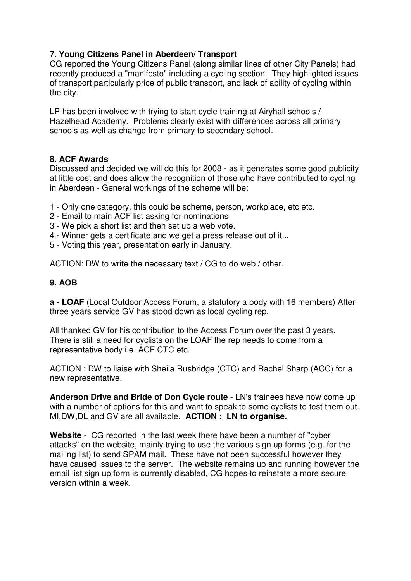# **7. Young Citizens Panel in Aberdeen/ Transport**

CG reported the Young Citizens Panel (along similar lines of other City Panels) had recently produced a "manifesto" including a cycling section. They highlighted issues of transport particularly price of public transport, and lack of ability of cycling within the city.

LP has been involved with trying to start cycle training at Airyhall schools / Hazelhead Academy. Problems clearly exist with differences across all primary schools as well as change from primary to secondary school.

# **8. ACF Awards**

Discussed and decided we will do this for 2008 - as it generates some good publicity at little cost and does allow the recognition of those who have contributed to cycling in Aberdeen - General workings of the scheme will be:

- 1 Only one category, this could be scheme, person, workplace, etc etc.
- 2 Email to main ACF list asking for nominations
- 3 We pick a short list and then set up a web vote.
- 4 Winner gets a certificate and we get a press release out of it...
- 5 Voting this year, presentation early in January.

ACTION: DW to write the necessary text / CG to do web / other.

# **9. AOB**

**a - LOAF** (Local Outdoor Access Forum, a statutory a body with 16 members) After three years service GV has stood down as local cycling rep.

All thanked GV for his contribution to the Access Forum over the past 3 years. There is still a need for cyclists on the LOAF the rep needs to come from a representative body i.e. ACF CTC etc.

ACTION : DW to liaise with Sheila Rusbridge (CTC) and Rachel Sharp (ACC) for a new representative.

**Anderson Drive and Bride of Don Cycle route** - LN's trainees have now come up with a number of options for this and want to speak to some cyclists to test them out. MI,DW,DL and GV are all available. **ACTION : LN to organise.** 

**Website** - CG reported in the last week there have been a number of "cyber attacks" on the website, mainly trying to use the various sign up forms (e.g. for the mailing list) to send SPAM mail. These have not been successful however they have caused issues to the server. The website remains up and running however the email list sign up form is currently disabled, CG hopes to reinstate a more secure version within a week.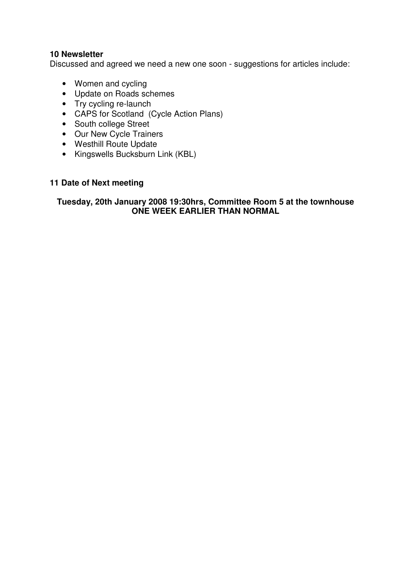#### **10 Newsletter**

Discussed and agreed we need a new one soon - suggestions for articles include:

- Women and cycling
- Update on Roads schemes
- Try cycling re-launch
- CAPS for Scotland (Cycle Action Plans)
- South college Street
- Our New Cycle Trainers
- Westhill Route Update
- Kingswells Bucksburn Link (KBL)

# **11 Date of Next meeting**

#### **Tuesday, 20th January 2008 19:30hrs, Committee Room 5 at the townhouse ONE WEEK EARLIER THAN NORMAL**